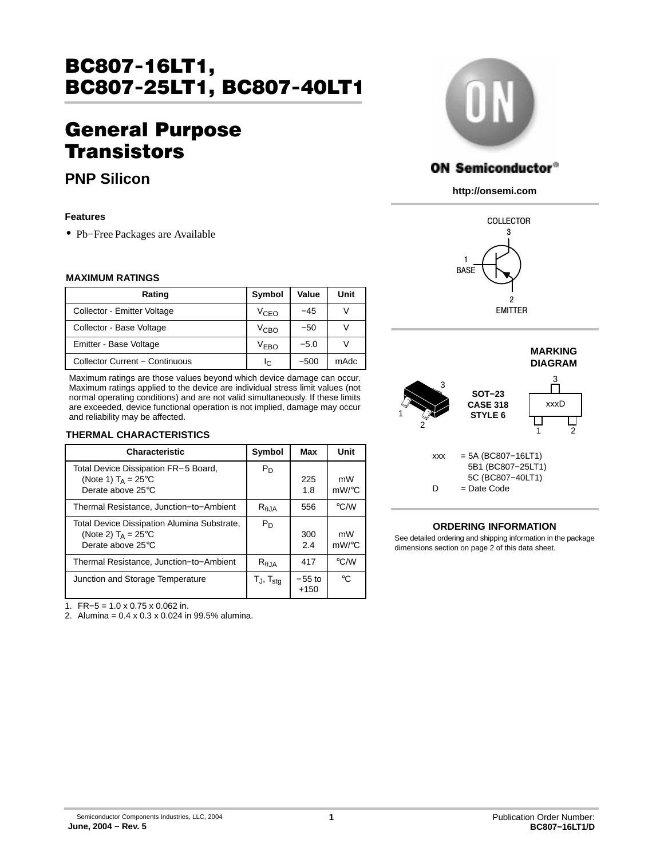# BC807−16LT1, BC807−25LT1, BC807−40LT1

# General Purpose **Transistors**

# **PNP Silicon**

### **Features**

• Pb−Free Packages are Available

## **MAXIMUM RATINGS**

| Rating                         | Symbol           | Value  | Unit |
|--------------------------------|------------------|--------|------|
| Collector - Emitter Voltage    | V <sub>CEO</sub> | $-45$  | V    |
| Collector - Base Voltage       | Vсво             | $-50$  | ν    |
| Emitter - Base Voltage         | V <sub>EBO</sub> | $-5.0$ |      |
| Collector Current - Continuous | Ιc               | $-500$ | mAdc |

Maximum ratings are those values beyond which device damage can occur. Maximum ratings applied to the device are individual stress limit values (not normal operating conditions) and are not valid simultaneously. If these limits are exceeded, device functional operation is not implied, damage may occur and reliability may be affected.

### **THERMAL CHARACTERISTICS**

| <b>Characteristic</b>                                                                      | Symbol                     | Max                | Unit                     |
|--------------------------------------------------------------------------------------------|----------------------------|--------------------|--------------------------|
| Total Device Dissipation FR-5 Board,<br>(Note 1) $T_A = 25^{\circ}C$<br>Derate above 25°C  | $P_D$                      | 225<br>1.8         | mW<br>$mW$ / $\degree$ C |
| Thermal Resistance, Junction-to-Ambient                                                    | $R_{\theta,IA}$            | 556                | $\degree$ C/W            |
| Total Device Dissipation Alumina Substrate,<br>(Note 2) $T_A = 25$ °C<br>Derate above 25°C | $P_D$                      | 300<br>2.4         | mW<br>$mW$ / $\degree$ C |
| Thermal Resistance, Junction-to-Ambient                                                    | $R_{\theta,JA}$            | 417                | $\degree$ C/W            |
| Junction and Storage Temperature                                                           | $T_{\sf J},\, T_{\sf stg}$ | $-55$ to<br>$+150$ | °€                       |

1. FR−5 = 1.0 x 0.75 x 0.062 in.

2. Alumina = 0.4 x 0.3 x 0.024 in 99.5% alumina.



# **ON Semiconductor®**

**http://onsemi.com**





## **ORDERING INFORMATION**

See detailed ordering and shipping information in the package dimensions section on page [2](#page-1-0) of this data sheet.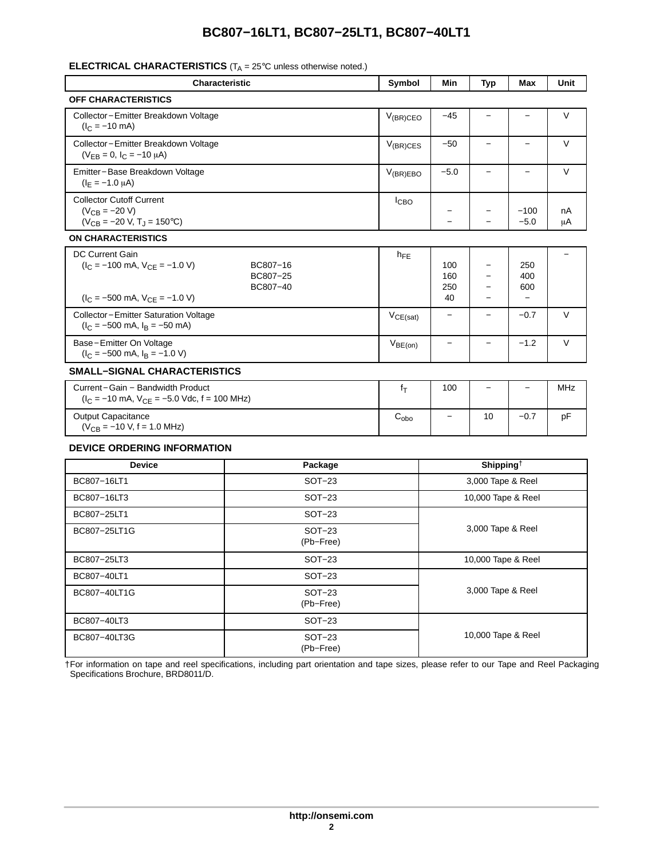# **BC807−16LT1, BC807−25LT1, BC807−40LT1**

# <span id="page-1-0"></span>**ELECTRICAL CHARACTERISTICS** (T<sub>A</sub> = 25°C unless otherwise noted.)

| <b>Characteristic</b>                                                                                                              |                                  | Symbol                   | Min                     | <b>Typ</b>               | Max                                           | Unit   |
|------------------------------------------------------------------------------------------------------------------------------------|----------------------------------|--------------------------|-------------------------|--------------------------|-----------------------------------------------|--------|
| <b>OFF CHARACTERISTICS</b>                                                                                                         |                                  |                          |                         |                          |                                               |        |
| Collector-Emitter Breakdown Voltage<br>$(I_C = -10$ mA)                                                                            | $V_{(BR)CEO}$                    | $-45$                    | -                       | $\qquad \qquad -$        | V                                             |        |
| Collector-Emitter Breakdown Voltage<br>$(V_{EB} = 0, I_C = -10 \mu A)$                                                             |                                  | $V_{(BR)CES}$            | $-50$                   |                          |                                               | V      |
| Emitter-Base Breakdown Voltage<br>$(I_E = -1.0 \mu A)$                                                                             |                                  | $V_{(BR)EBO}$            | $-5.0$                  | $\overline{\phantom{0}}$ | $\overline{\phantom{0}}$                      | V      |
| <b>Collector Cutoff Current</b><br>$(V_{CB} = -20 V)$<br>$(V_{CB} = -20 V, T_J = 150°C)$                                           | <b>I</b> CBO                     |                          |                         | $-100$<br>$-5.0$         | nA<br>μA                                      |        |
| <b>ON CHARACTERISTICS</b>                                                                                                          |                                  |                          |                         |                          |                                               |        |
| <b>DC Current Gain</b><br>$(I_C = -100 \text{ mA}, V_{CE} = -1.0 \text{ V})$<br>$(I_C = -500 \text{ mA}, V_{CE} = -1.0 \text{ V})$ | BC807-16<br>BC807-25<br>BC807-40 | $h_{FE}$                 | 100<br>160<br>250<br>40 |                          | 250<br>400<br>600<br>$\overline{\phantom{0}}$ |        |
| <b>Collector-Emitter Saturation Voltage</b><br>$(I_C = -500 \text{ mA}, I_B = -50 \text{ mA})$                                     | $V_{CE(sat)}$                    | $\overline{\phantom{0}}$ |                         | $-0.7$                   | V                                             |        |
| Base-Emitter On Voltage<br>$(I_C = -500 \text{ mA}, I_B = -1.0 \text{ V})$                                                         |                                  | $V_{BE(on)}$             | -                       | -                        | $-1.2$                                        | $\vee$ |
| <b>SMALL-SIGNAL CHARACTERISTICS</b>                                                                                                |                                  |                          |                         |                          |                                               |        |
| Current-Gain - Bandwidth Product<br>$(I_C = -10 \text{ mA}, V_{CE} = -5.0 \text{ Vdc}, f = 100 \text{ MHz})$                       |                                  | fτ                       | 100                     | $\qquad \qquad -$        | $\qquad \qquad -$                             | MHz    |
| Output Capacitance<br>$(V_{CB} = -10 V, f = 1.0 MHz)$                                                                              | $C_{\rm obo}$                    | $\overline{\phantom{0}}$ | 10                      | $-0.7$                   | pF                                            |        |
| <b>DEVICE ORDERING INFORMATION</b>                                                                                                 |                                  |                          |                         |                          |                                               |        |
| <b>Device</b>                                                                                                                      | Package                          |                          |                         | Shipping <sup>†</sup>    |                                               |        |
| BC807-16LT1                                                                                                                        | SOT-23                           |                          | 3,000 Tape & Reel       |                          |                                               |        |
| BC807-16LT3                                                                                                                        | $SOT-23$                         |                          | 10,000 Tape & Reel      |                          |                                               |        |
| BC807-25LT1                                                                                                                        | $SOT-23$                         |                          |                         |                          |                                               |        |
| BC807-25LT1G                                                                                                                       | <b>SOT-23</b><br>(Pb-Free)       |                          | 3,000 Tape & Reel       |                          |                                               |        |
| BC807-25LT3                                                                                                                        | <b>SOT-23</b>                    | 10,000 Tape & Reel       |                         |                          |                                               |        |
| BC807-40LT1                                                                                                                        | <b>SOT-23</b>                    |                          |                         |                          |                                               |        |
| BC807-40LT1G                                                                                                                       | $SOT-23$<br>(Pb-Free)            |                          | 3,000 Tape & Reel       |                          |                                               |        |
| BC807-40LT3                                                                                                                        | <b>SOT-23</b>                    |                          | 10,000 Tape & Reel      |                          |                                               |        |
| BC807-40LT3G                                                                                                                       | SOT-23<br>(Pb-Free)              |                          |                         |                          |                                               |        |

†For information on tape and reel specifications, including part orientation and tape sizes, please refer to our Tape and Reel Packaging Specifications Brochure, BRD8011/D.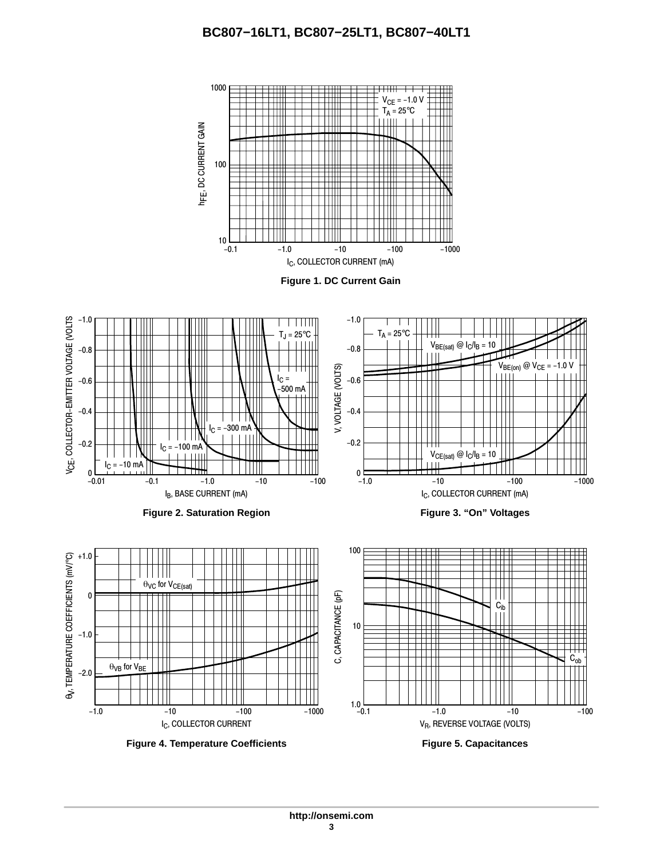# **BC807−16LT1, BC807−25LT1, BC807−40LT1**